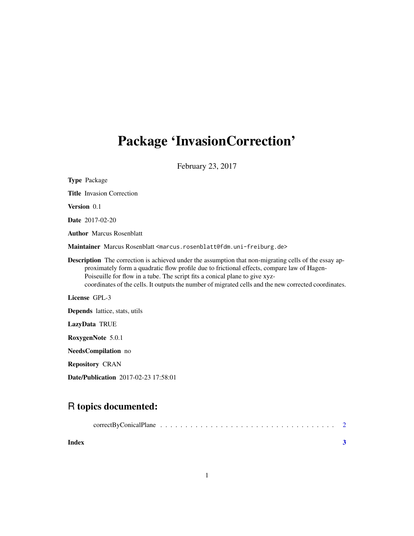## Package 'InvasionCorrection'

February 23, 2017

| <b>Type Package</b>                                                                                                                                                                                                                                                                                                                                                                               |
|---------------------------------------------------------------------------------------------------------------------------------------------------------------------------------------------------------------------------------------------------------------------------------------------------------------------------------------------------------------------------------------------------|
| <b>Title</b> Invasion Correction                                                                                                                                                                                                                                                                                                                                                                  |
| Version 0.1                                                                                                                                                                                                                                                                                                                                                                                       |
| <b>Date</b> 2017-02-20                                                                                                                                                                                                                                                                                                                                                                            |
| <b>Author</b> Marcus Rosenblatt                                                                                                                                                                                                                                                                                                                                                                   |
| Maintainer Marcus Rosenblatt <marcus.rosenblatt@fdm.uni-freiburg.de></marcus.rosenblatt@fdm.uni-freiburg.de>                                                                                                                                                                                                                                                                                      |
| <b>Description</b> The correction is achieved under the assumption that non-migrating cells of the essay ap-<br>proximately form a quadratic flow profile due to frictional effects, compare law of Hagen-<br>Poiseuille for flow in a tube. The script fits a conical plane to give xyz-<br>coordinates of the cells. It outputs the number of migrated cells and the new corrected coordinates. |
| License GPL-3                                                                                                                                                                                                                                                                                                                                                                                     |
| <b>Depends</b> lattice, stats, utils                                                                                                                                                                                                                                                                                                                                                              |
| LazyData TRUE                                                                                                                                                                                                                                                                                                                                                                                     |
| RoxygenNote 5.0.1                                                                                                                                                                                                                                                                                                                                                                                 |
| <b>NeedsCompilation</b> no                                                                                                                                                                                                                                                                                                                                                                        |
| <b>Repository CRAN</b>                                                                                                                                                                                                                                                                                                                                                                            |
| Date/Publication 2017-02-23 17:58:01                                                                                                                                                                                                                                                                                                                                                              |

### R topics documented:

| Index |  |  |  |  |  |  |  |  |  |  |  |  |  |  |
|-------|--|--|--|--|--|--|--|--|--|--|--|--|--|--|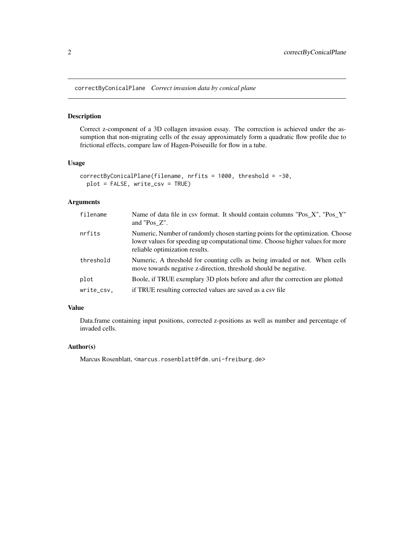<span id="page-1-0"></span>correctByConicalPlane *Correct invasion data by conical plane*

#### Description

Correct z-component of a 3D collagen invasion essay. The correction is achieved under the assumption that non-migrating cells of the essay approximately form a quadratic flow profile due to frictional effects, compare law of Hagen-Poiseuille for flow in a tube.

#### Usage

```
correctByConicalPlane(filename, nrfits = 1000, threshold = -30,
plot = FALSE, write_csv = TRUE)
```
#### Arguments

| filename   | Name of data file in csv format. It should contain columns "Pos_X", "Pos_Y"<br>and "Pos Z".                                                                                                         |
|------------|-----------------------------------------------------------------------------------------------------------------------------------------------------------------------------------------------------|
| nrfits     | Numeric, Number of randomly chosen starting points for the optimization. Choose<br>lower values for speeding up computational time. Choose higher values for more<br>reliable optimization results. |
| threshold  | Numeric, A threshold for counting cells as being invaded or not. When cells<br>move towards negative z-direction, threshold should be negative.                                                     |
| plot       | Boole, if TRUE exemplary 3D plots before and after the correction are plotted                                                                                                                       |
| write_csv, | if TRUE resulting corrected values are saved as a csy file                                                                                                                                          |

#### Value

Data.frame containing input positions, corrected z-positions as well as number and percentage of invaded cells.

#### Author(s)

Marcus Rosenblatt, <marcus.rosenblatt@fdm.uni-freiburg.de>